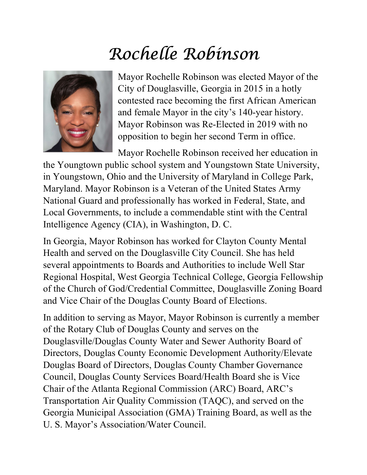## Rochelle Robinson



Mayor Rochelle Robinson was elected Mayor of the City of Douglasville, Georgia in 2015 in a hotly contested race becoming the first African American and female Mayor in the city's 140-year history. Mayor Robinson was Re-Elected in 2019 with no opposition to begin her second Term in office.

Mayor Rochelle Robinson received her education in the Youngtown public school system and Youngstown State University, in Youngstown, Ohio and the University of Maryland in College Park, Maryland. Mayor Robinson is a Veteran of the United States Army National Guard and professionally has worked in Federal, State, and Local Governments, to include a commendable stint with the Central Intelligence Agency (CIA), in Washington, D. C.

In Georgia, Mayor Robinson has worked for Clayton County Mental Health and served on the Douglasville City Council. She has held several appointments to Boards and Authorities to include Well Star Regional Hospital, West Georgia Technical College, Georgia Fellowship of the Church of God/Credential Committee, Douglasville Zoning Board and Vice Chair of the Douglas County Board of Elections.

In addition to serving as Mayor, Mayor Robinson is currently a member of the Rotary Club of Douglas County and serves on the Douglasville/Douglas County Water and Sewer Authority Board of Directors, Douglas County Economic Development Authority/Elevate Douglas Board of Directors, Douglas County Chamber Governance Council, Douglas County Services Board/Health Board she is Vice Chair of the Atlanta Regional Commission (ARC) Board, ARC's Transportation Air Quality Commission (TAQC), and served on the Georgia Municipal Association (GMA) Training Board, as well as the U. S. Mayor's Association/Water Council.